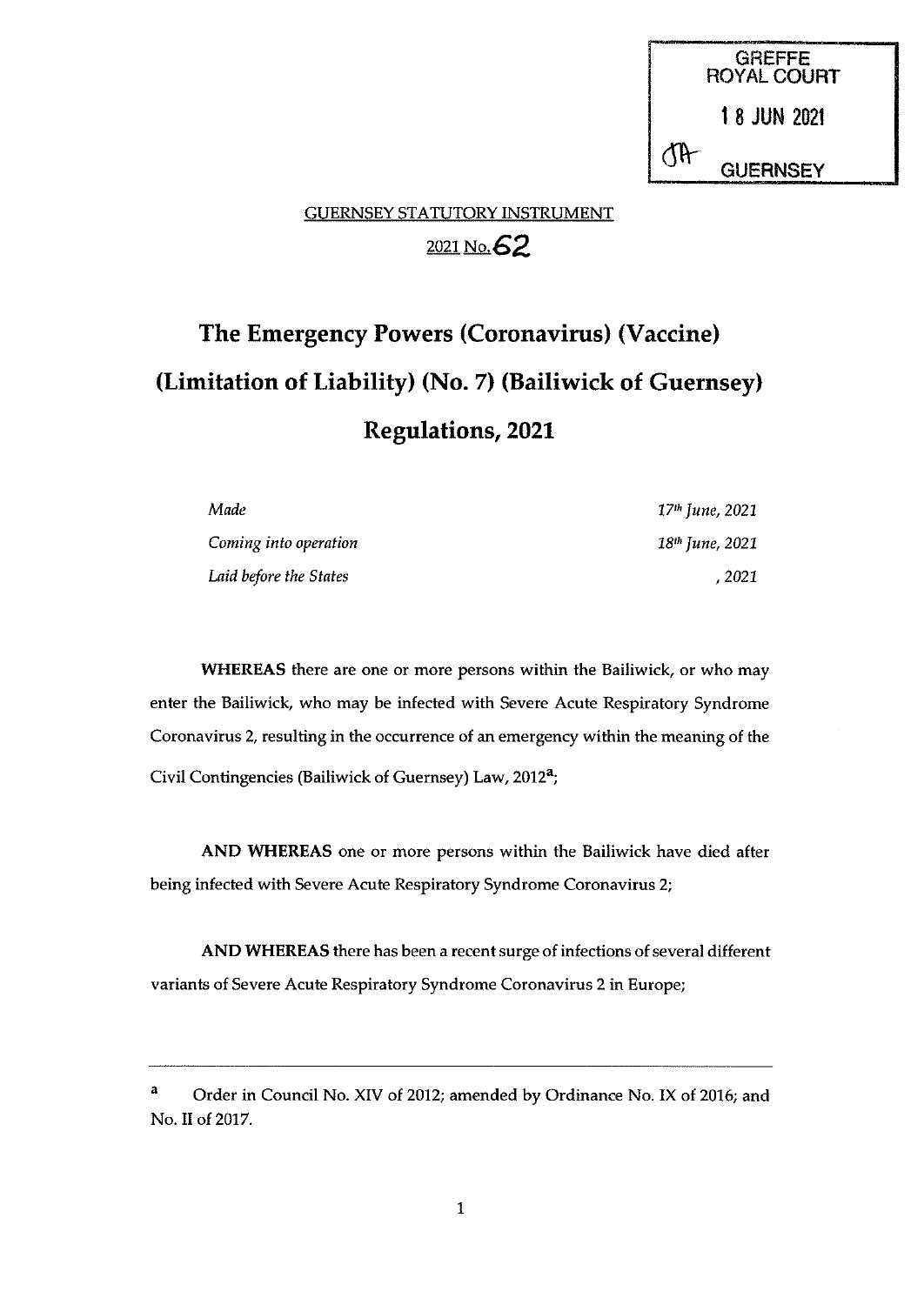GREFFE ROYAL COURT 18 JUN <sup>2021</sup> **GUERNSEY** 

# GUERNSEY STATUTORY INSTRUMENT 2021 No. 62

# The Emergency Powers (Coronavirus) (Vaccine) (Limitation of Liability) (No. 7) (Bailiwick of Guernsey) Regulations, 2021

| Made                   | 17 <sup>th</sup> June, 2021 |
|------------------------|-----------------------------|
| Coming into operation  | $18th$ June, 2021           |
| Laid before the States | , 2021                      |

WHEREAS there are one or more persons within the Bailiwick, or who may enter the Bailiwick, who may be infected with Severe Acute Respiratory Syndrome Coronavirus 2, resulting in the occurrence of an emergency within the meaning of the Civil Contingencies (Bailiwick of Guernsey) Law, 2012<sup>a</sup>;

AND WHEREAS one or more persons within the Bailiwick have died after being infected with Severe Acute Respiratory Syndrome Coronavirus 2;

AND WHEREAS there has been a recent surge of infections of several different variants of Severe Acute Respiratory Syndrome Coronavirus 2 in Europe;

<sup>&</sup>lt;sup>a</sup> Order in Council No. XIV of 2012; amended by Ordinance No. IX of 2016; and No. II of 2017.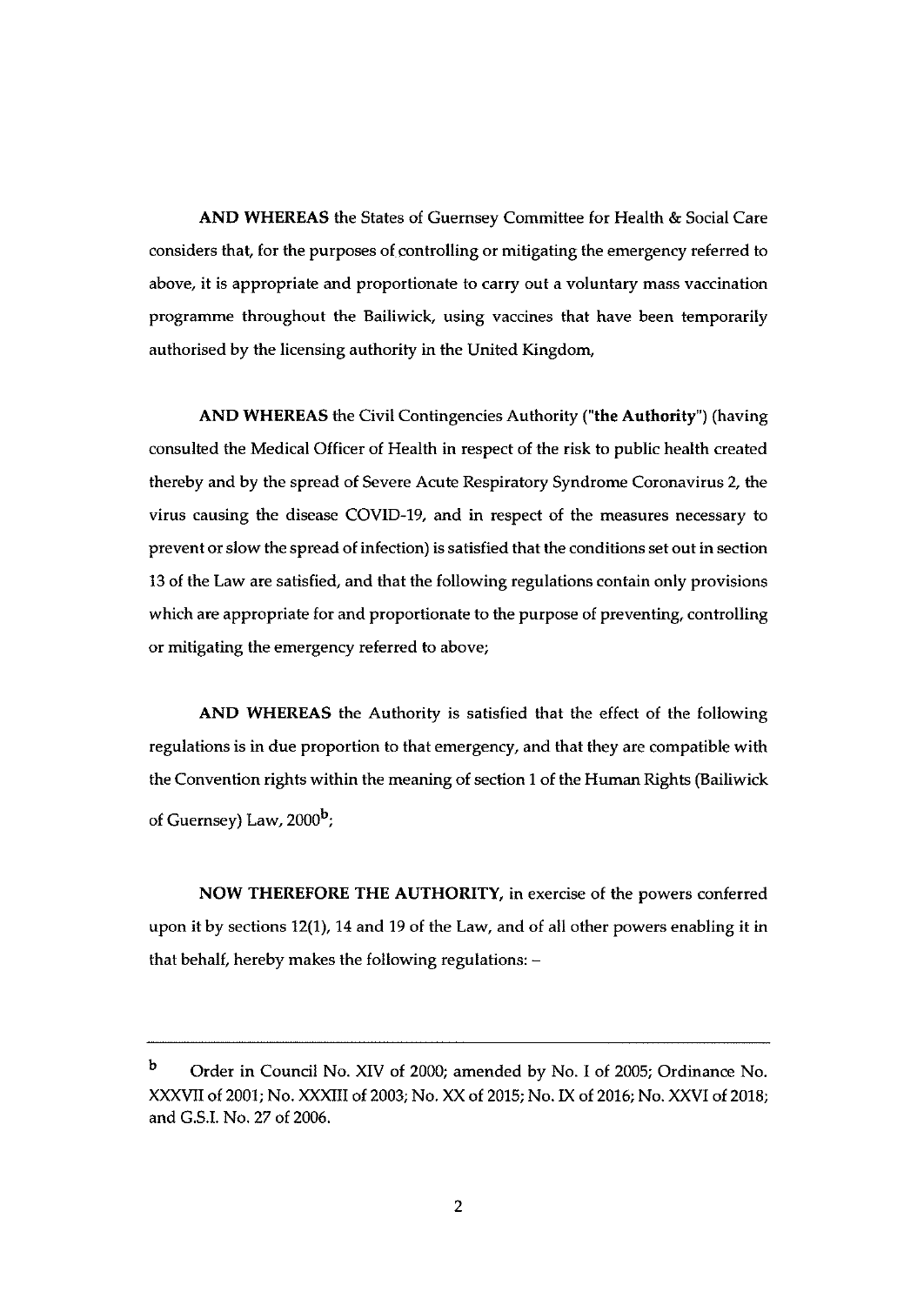AND WHEREAS the States of Guernsey Committee for Health & Social Care considers that, for the purposes of controlling or mitigating the emergency referred to above, it is appropriate and proportionate to carry out a voluntary mass vaccination programme throughout the Bailiwick, using vaccines that have been temporarily authorised by the licensing authority in the United Kingdom,

AND WHEREAS the Civil Contingencies Authority ('the Authority") (having consulted the Medical Officer of Health in respect of the risk to public health created thereby and by the spread of Severe Acute Respiratory Syndrome Coronavirus 2, the virus causing the disease COVID-19, and in respect of the measures necessary to prevent or slow the spread of infection) is satisfied that the conditions set out in section 13 of the Law are satisfied, and that the following regulations contain only provisions which are appropriate for and proportionate to the purpose of preventing, controlling or mitigating the emergency referred to above;

AND WHEREAS the Authority is satisfied that the effect of the following regulations is in due proportion to that emergency, and that they are compatible with the Convention rights within the meaning of section <sup>1</sup> of the Human Rights (Bailiwick of Guernsey) Law, 2000<sup>b</sup>;

NOW THEREFORE THE AUTHORITY, in exercise of the powers conferred upon it by sections 12(1), 14 and 19 of the Law, and of all other powers enabling it in that behalf, hereby makes the following regulations: —

<sup>b</sup> Order in Council No. XIV of 2000; amended by No. <sup>I</sup> of 2005; Ordinance No. XXXVII of 2001; No. XXXIII of 2003; No. XX of 2015; No. IX of 2016; No. XXVI of 2018; and G.S.I. No. 27 of 2006.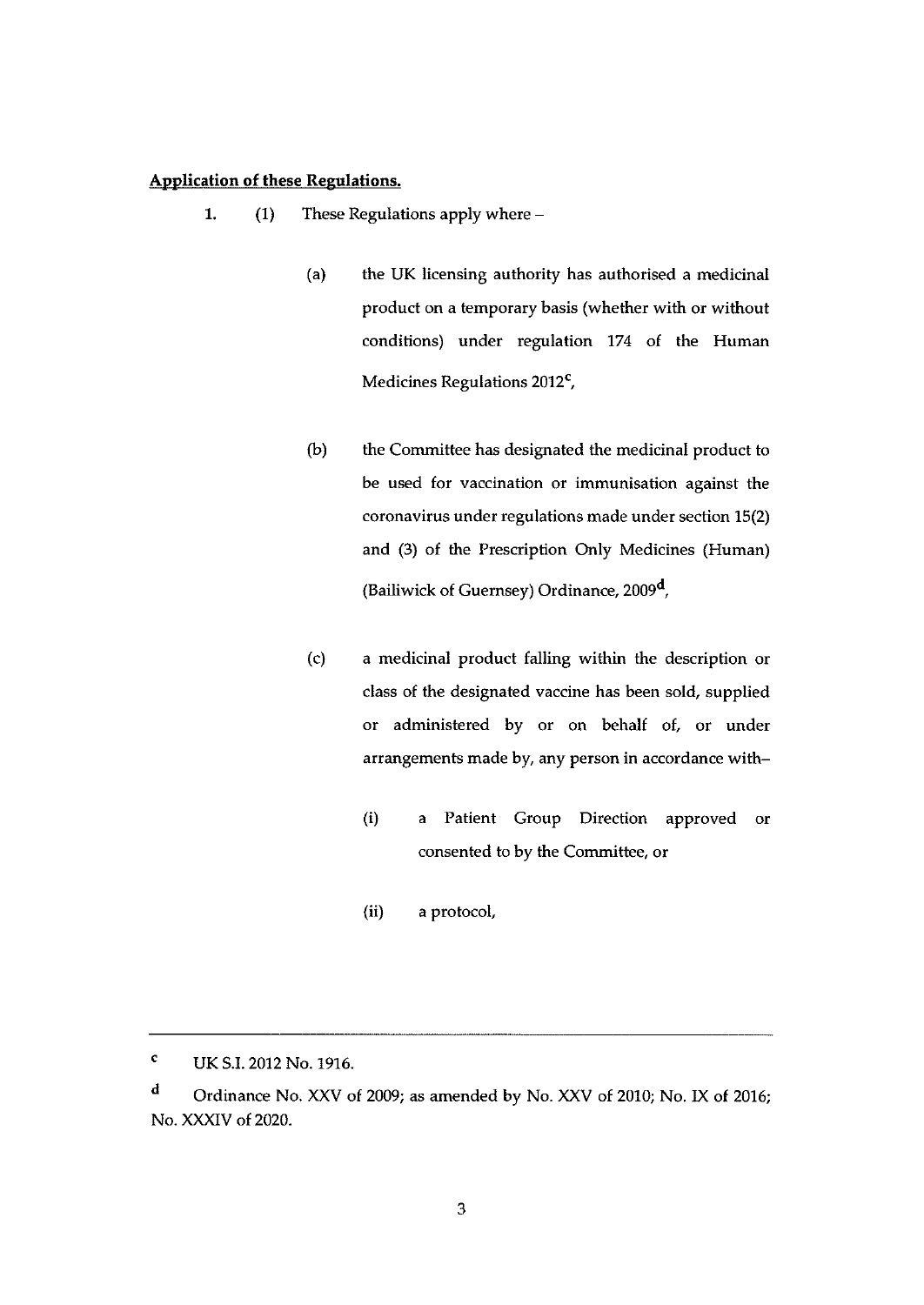#### Application of these Regulations.

- $\mathbf{1}$ (1) These Regulations apply where —
	- (a) the UK licensing authority has authorised a medicinal product on a temporary basis (whether with or without conditions) under regulation 174 of the Human Medicines Regulations 2012<sup>c</sup>,
	- (b) the Committee has designated the medicinal product to be used for vaccination or immunisation against the coronavirus under regulations made under section 15(2) and (3) of the Prescription Only Medicines (Human) (Bailiwick of Guernsey) Ordinance, 2009',
	- (c) a medicinal product falling within the description or class of the designated vaccine has been sold, supplied or administered by or on behalf of, or under arrangements made by, any person in accordance with—
		- (i) a Patient Group Direction approved or consented to by the Committee, or
		- (ii) a protocol,

<sup>C</sup> UK 5.1.2012 No. 1916.

<sup>d</sup> Ordinance No. XXV of 2009; as amended by No. XXV of 2010; No. IX of 2016; No. XXXIV of 2020.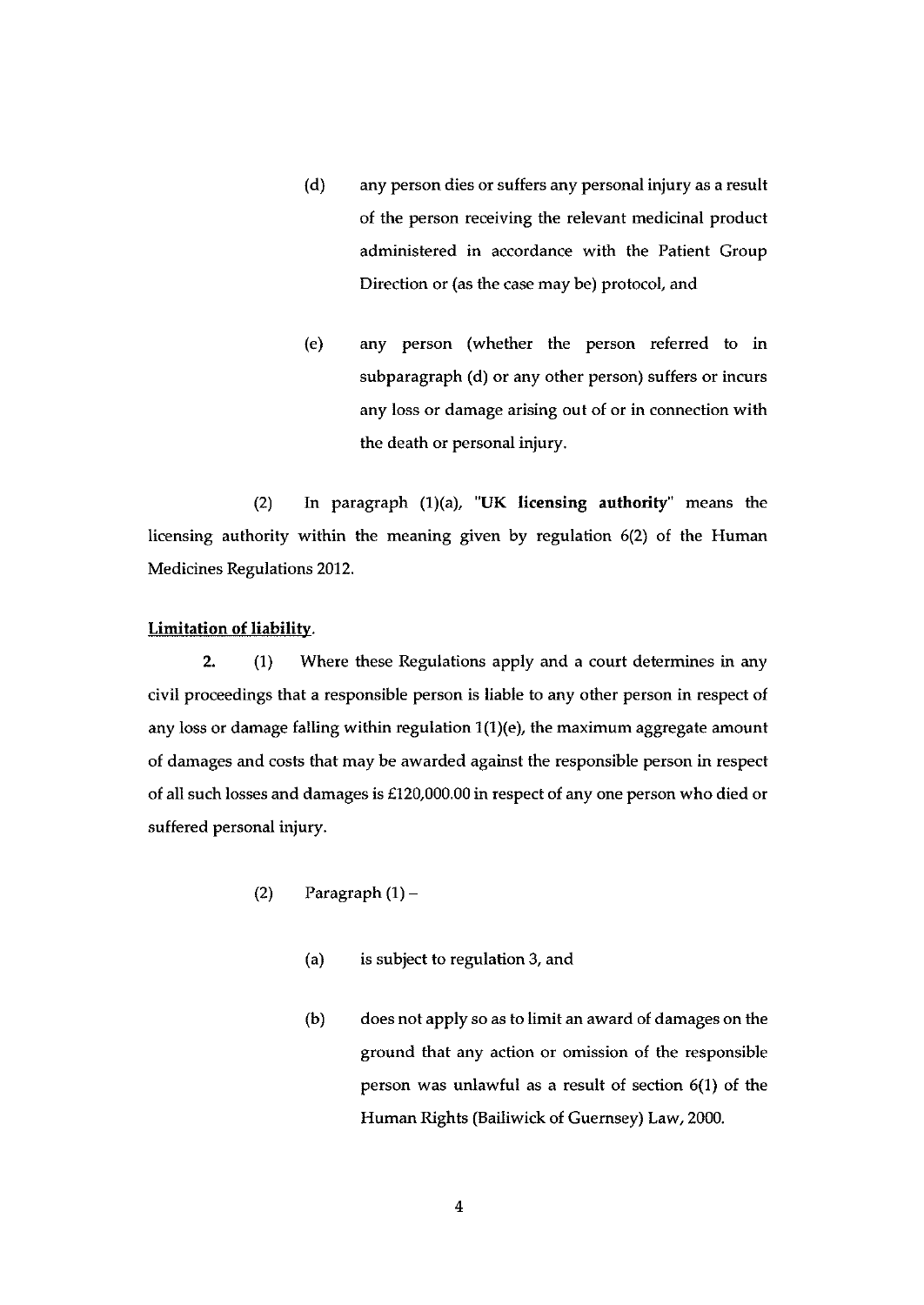- (d) any person dies or suffers any personal injury as a result of the person receiving the relevant medicinal product administered in accordance with the Patient Group Direction or (as the case may be) protocol, and
- (e) any person (whether the person referred to in subparagraph (d) or any other person) suffers or incurs any loss or damage arising out of or in connection with the death or personal injury.

(2) In paragraph (1)(a), 'UK licensing authority' means the licensing authority within the meaning given by regulation 6(2) of the Human Medicines Regulations 2012.

### Limitation of liability.

2. (1) Where these Regulations apply and a court determines in any civil proceedings that a responsible person is liable to any other person in respect of any loss or damage falling within regulation  $1(1)(e)$ , the maximum aggregate amount of damages and costs that may be awarded against the responsible person in respect of all such losses and damages is £120,000.00 in respect of any one person who died or suffered personal injury.

- (2) Paragraph  $(1)$ 
	- (a) is subject to regulation 3, and
	- (b) does not apply so as to limit an award of damages on the ground that any action or omission of the responsible person was unlawful as a result of section 6(1) of the Human Rights (Bailiwick of Guernsey) Law, 2000.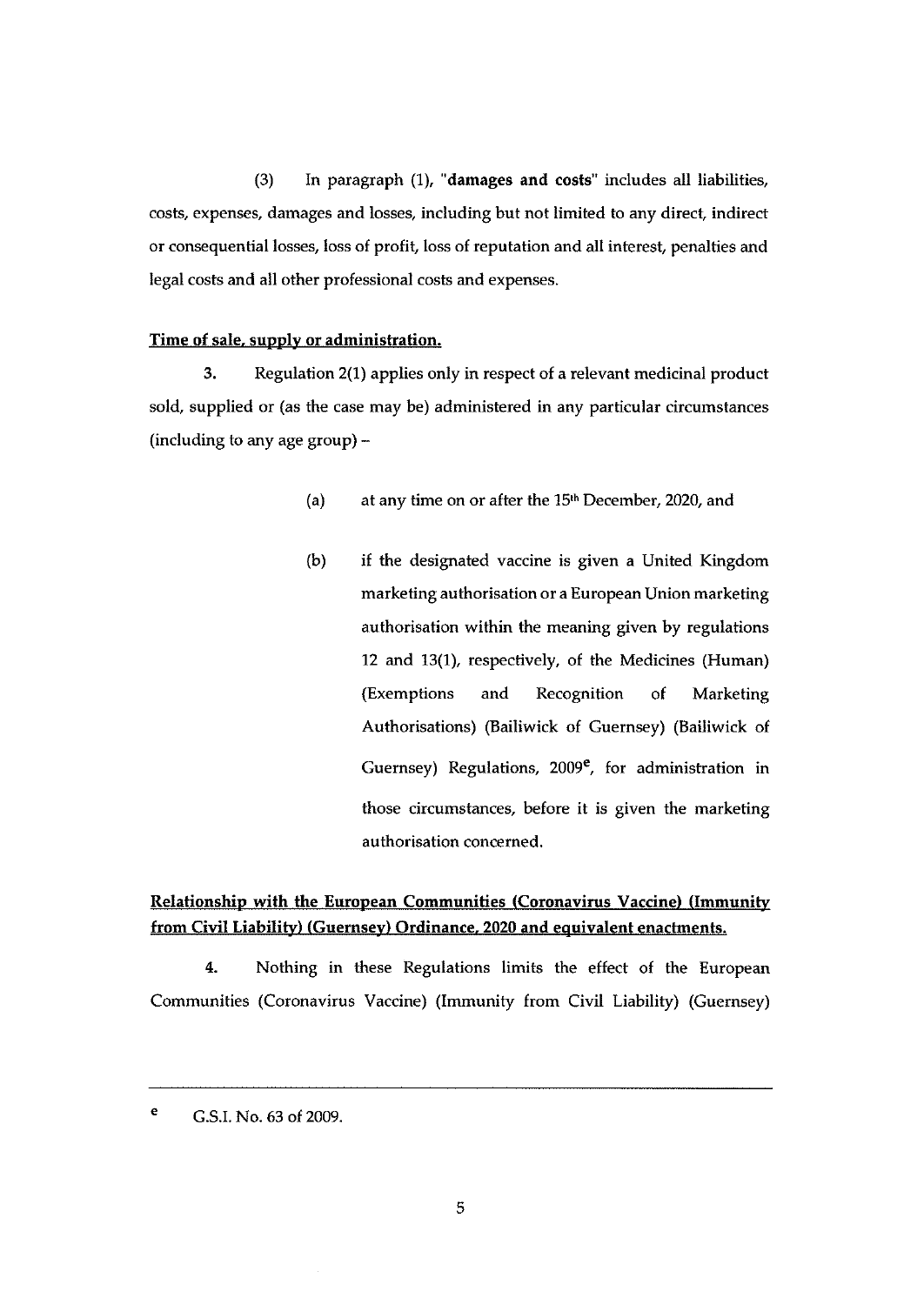(3) In paragraph (1), 'damages and costs" includes all liabilities, costs, expenses, damages and losses, including but not limited to any direct indirect or consequential losses, loss of profit, loss of reputation and all interest, penalties and legal costs and all other professional costs and expenses.

#### Time of sale. supply or administration.

3. Regulation 2(1) applies only in respect of a relevant medicinal product sold, supplied or (as the case may be) administered in any particular circumstances (including to any age group) —

- (a) at any time on or after the  $15<sup>th</sup>$  December, 2020, and
- (b) if the designated vaccine is given a United Kingdom marketing authorisation or a European Union marketing authorisation within the meaning given by regulations 12 and 13(1), respectively, of the Medicines (Human) (Exemptions and Recognition of Marketing Authorisations) (Bailiwick of Guernsey) (Bailiwick of Guernsey) Regulations,  $2009^e$ , for administration in those circumstances, before it is given the marketing authorisation concerned.

# Relationship with the European Communities (Coronavirus Vaccine) (Immunity from Civil Liability) (Guernsey) Ordinance. 2020 and equivalent enactments.

4. Nothing in these Regulations limits the effect of the European Communities (Coronavirus Vaccine) (Immunity from Civil Liability) (Guernsey)

<sup>&</sup>lt;sup>e</sup> G.S.I. No. 63 of 2009.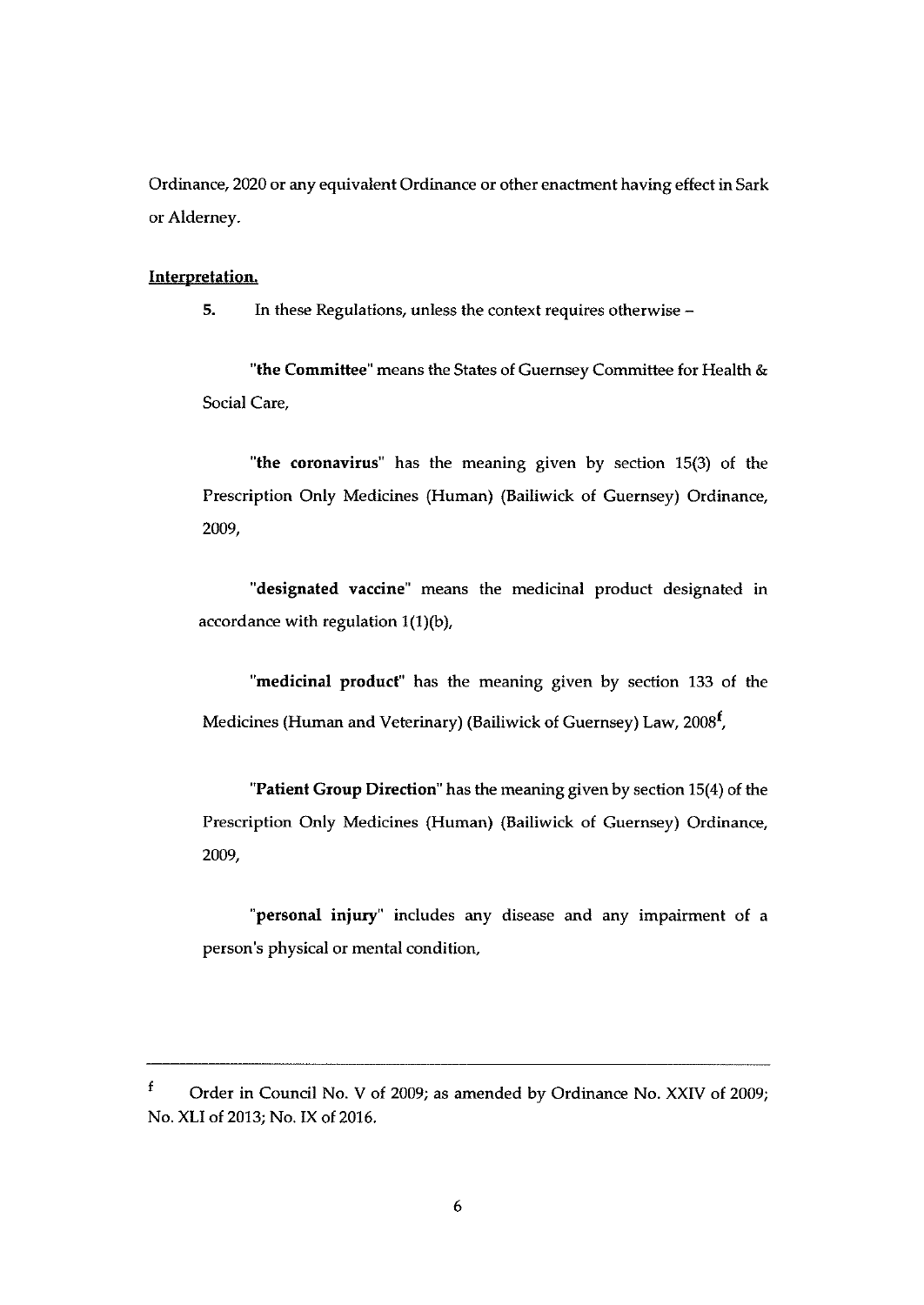Ordinance, 2020 or any equivalent Ordinance or other enactment having effect in Sark or Alderney.

#### Interpretation.

5. In these Regulations, unless the context requires otherwise —

'the Commiftee' means the States of Guernsey Committee for Health & Social Care,

"the coronavirus" has the meaning given by section 15(3) of the Prescription Only Medicines (Human) (Bailiwick of Guernsey) Ordinance, 2009,

"designated vaccine" means the medicinal product designated in accordance with regulation  $1(1)(b)$ ,

"medicinal product" has the meaning given by section 133 of the Medicines (Human and Veterinary) (Bailiwick of Guernsey) Law, 2008<sup>f</sup>,

"Patient Group Direction" has the meaning given by section 15(4) of the Prescription Only Medicines (Human) (Bailiwick of Guernsey) Ordinance, 2009,

"personal injury" includes any disease and any impairment of a person's physical or mental condition,

 $\mathbf f$ Order in Council No. <sup>V</sup> of 2009; as amended by Ordinance No. XXIV of 2009; No. XLI of 2013: No. IX of 2016.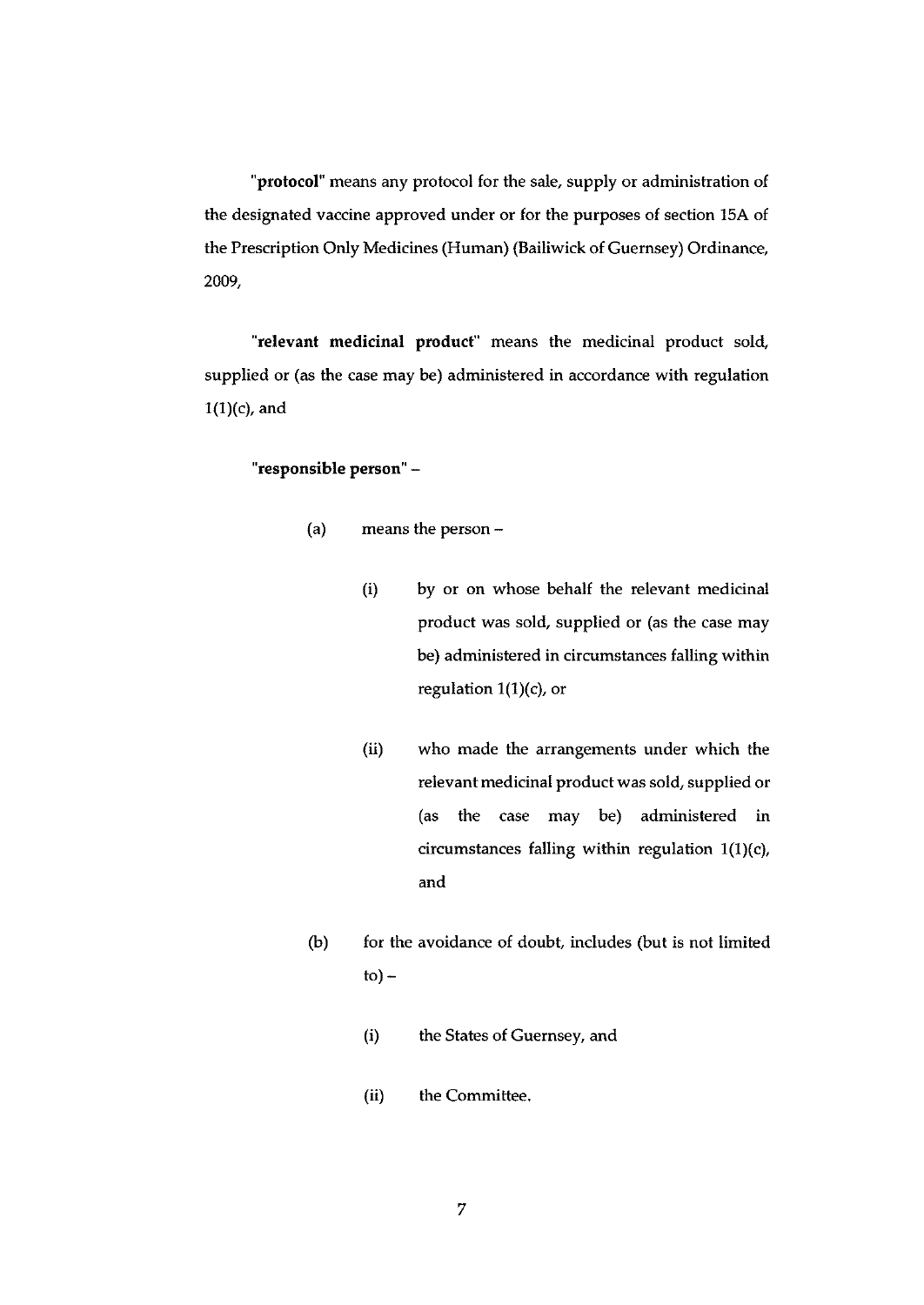protocol" means any protocol for the sale, supply or administration of the designated vaccine approved under or for the purposes of section 15A of the Prescription Only Medicines (Human) (Bailiwick of Guernsey) Ordinance, 2009,

'relevant medicinal product" means the medicinal product sold, supplied or (as the case may be) administered in accordance with regulation  $1(1)(c)$ , and

#### "responsible person" —

- (a) means the person
	- (i) by or on whose behalf the relevant medicinal product was sold, supplied or (as the case may be) administered in circumstances falling within regulation 1(1)(c), or
	- (ii) who made the arrangements under which the relevant medicinal product was sold, supplied or (as the case may be) administered in circumstances falling within regulation  $1(1)(c)$ , and
- $(b)$  for the avoidance of doubt, includes (but is not limited  $to$ ) –
	- (i) the States of Guernsey, and
	- (ii) the Committee.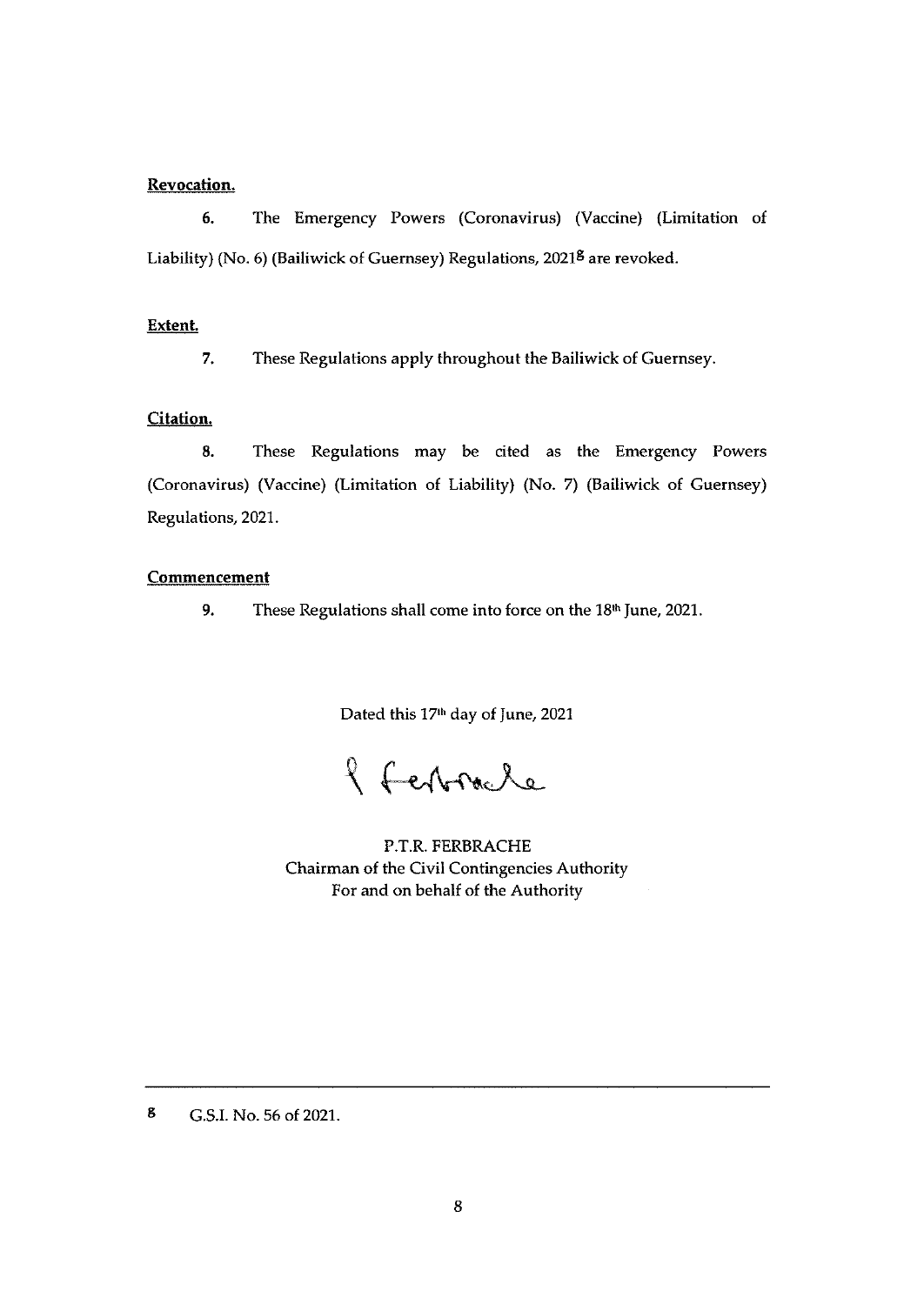### Revocation.

6. The Emergency Powers (Coronavirus) (Vaccine) (Limitation of Liability) (No. 6) (Bailiwick of Guernsey) Regulations, 2021<sup>8</sup> are revoked.

#### Extent.

7, These Regulations apply throughout the Bailiwick of Guernsey.

#### Citation.

8. These Regulations may be cited as the Emergency Powers (Coronavirus) (Vaccine) (Limitation of Liability) (No. 7) (Bailiwick of Guernsey) Regulations, 2021.

#### Commencement

9. These Regulations shall come into force on the 18<sup>th</sup> June, 2021.

Dated this 17<sup>th</sup> day of June, 2021

2 Febracle

P.T.R. FERBRACHE Chairman of the Civil Contingencies Authority For and on behalf of the Authority

g G.S.I. No. 56 of 2021.